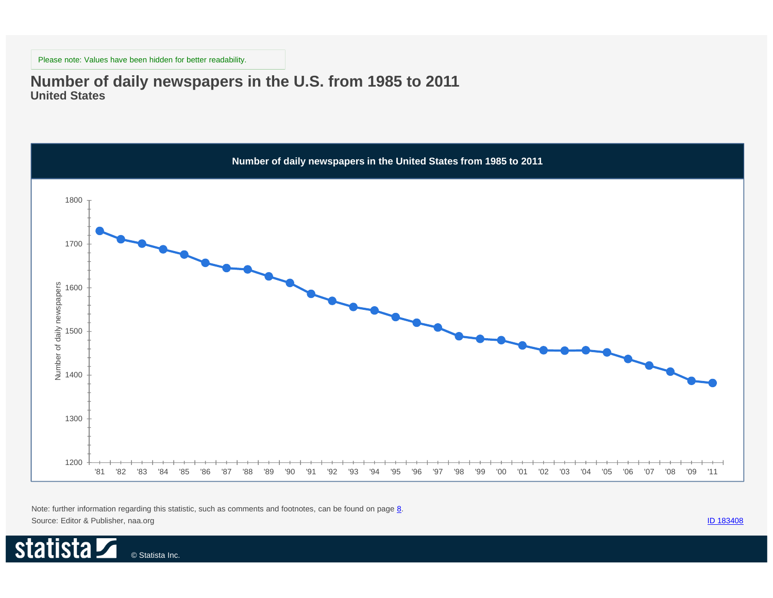Please note: Values have been hidden for better readability.

## **Number of daily newspapers in the U.S. from 1985 to 2011 United States**



Note: further information regarding this statistic, such as comments and footnotes, can be found on page 8. Source: Editor & Publisher, naa.org

© Statista Inc.

statista

ID 183408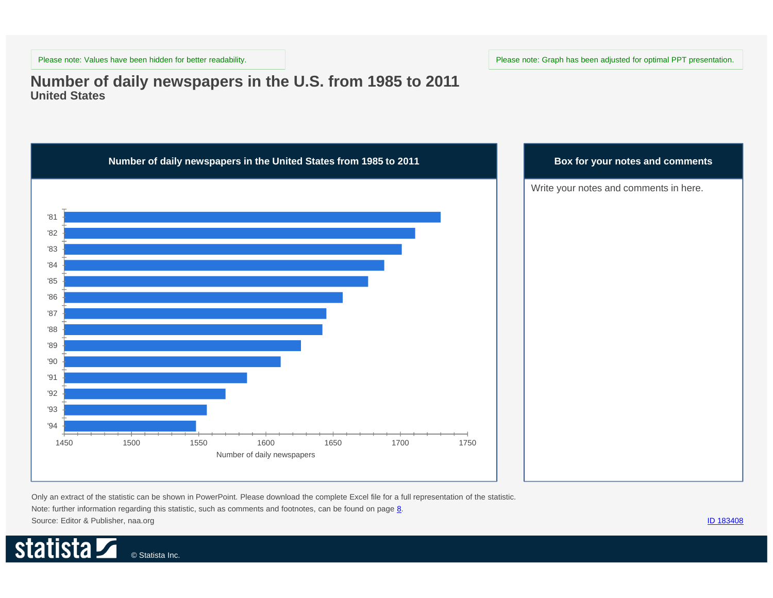© Statista Inc.

statista

## **Number of daily newspapers in the U.S. from 1985 to 2011 United States**



Note: further information regarding this statistic, such as comments and footnotes, can be found on page 8. Source: Editor & Publisher, naa.org Only an extract of the statistic can be shown in PowerPoint. Please download the complete Excel file for a full representation of the statistic.

ID 183408